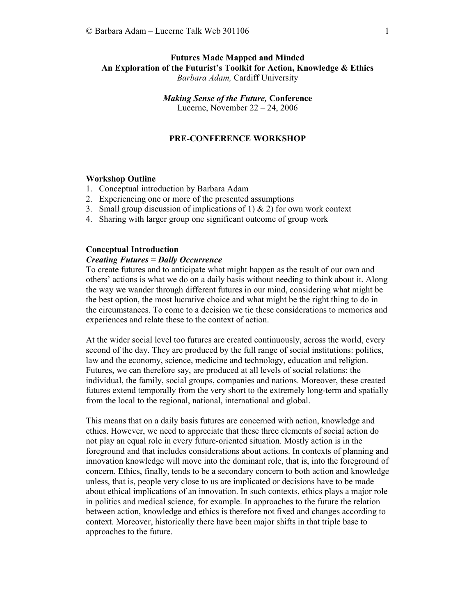# Futures Made Mapped and Minded An Exploration of the Futurist's Toolkit for Action, Knowledge & Ethics Barbara Adam, Cardiff University

Making Sense of the Future, Conference Lucerne, November 22 – 24, 2006

## PRE-CONFERENCE WORKSHOP

## Workshop Outline

- 1. Conceptual introduction by Barbara Adam
- 2. Experiencing one or more of the presented assumptions
- 3. Small group discussion of implications of 1)  $\&$  2) for own work context
- 4. Sharing with larger group one significant outcome of group work

#### Conceptual Introduction

### Creating Futures = Daily Occurrence

To create futures and to anticipate what might happen as the result of our own and others' actions is what we do on a daily basis without needing to think about it. Along the way we wander through different futures in our mind, considering what might be the best option, the most lucrative choice and what might be the right thing to do in the circumstances. To come to a decision we tie these considerations to memories and experiences and relate these to the context of action.

At the wider social level too futures are created continuously, across the world, every second of the day. They are produced by the full range of social institutions: politics, law and the economy, science, medicine and technology, education and religion. Futures, we can therefore say, are produced at all levels of social relations: the individual, the family, social groups, companies and nations. Moreover, these created futures extend temporally from the very short to the extremely long-term and spatially from the local to the regional, national, international and global.

This means that on a daily basis futures are concerned with action, knowledge and ethics. However, we need to appreciate that these three elements of social action do not play an equal role in every future-oriented situation. Mostly action is in the foreground and that includes considerations about actions. In contexts of planning and innovation knowledge will move into the dominant role, that is, into the foreground of concern. Ethics, finally, tends to be a secondary concern to both action and knowledge unless, that is, people very close to us are implicated or decisions have to be made about ethical implications of an innovation. In such contexts, ethics plays a major role in politics and medical science, for example. In approaches to the future the relation between action, knowledge and ethics is therefore not fixed and changes according to context. Moreover, historically there have been major shifts in that triple base to approaches to the future.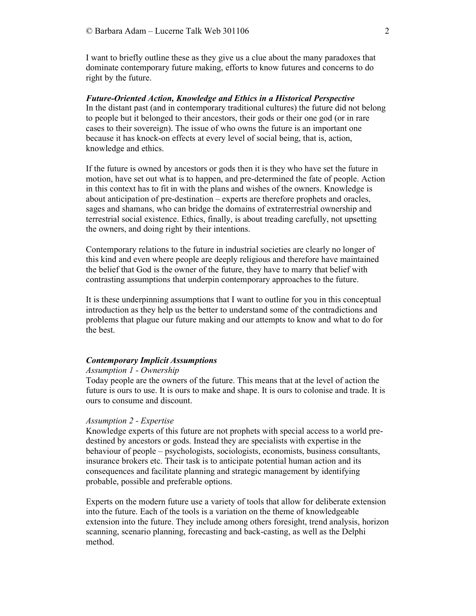I want to briefly outline these as they give us a clue about the many paradoxes that dominate contemporary future making, efforts to know futures and concerns to do right by the future.

Future-Oriented Action, Knowledge and Ethics in a Historical Perspective In the distant past (and in contemporary traditional cultures) the future did not belong to people but it belonged to their ancestors, their gods or their one god (or in rare cases to their sovereign). The issue of who owns the future is an important one because it has knock-on effects at every level of social being, that is, action, knowledge and ethics.

If the future is owned by ancestors or gods then it is they who have set the future in motion, have set out what is to happen, and pre-determined the fate of people. Action in this context has to fit in with the plans and wishes of the owners. Knowledge is about anticipation of pre-destination – experts are therefore prophets and oracles, sages and shamans, who can bridge the domains of extraterrestrial ownership and terrestrial social existence. Ethics, finally, is about treading carefully, not upsetting the owners, and doing right by their intentions.

Contemporary relations to the future in industrial societies are clearly no longer of this kind and even where people are deeply religious and therefore have maintained the belief that God is the owner of the future, they have to marry that belief with contrasting assumptions that underpin contemporary approaches to the future.

It is these underpinning assumptions that I want to outline for you in this conceptual introduction as they help us the better to understand some of the contradictions and problems that plague our future making and our attempts to know and what to do for the best.

## Contemporary Implicit Assumptions

#### Assumption 1 - Ownership

Today people are the owners of the future. This means that at the level of action the future is ours to use. It is ours to make and shape. It is ours to colonise and trade. It is ours to consume and discount.

#### Assumption 2 - Expertise

Knowledge experts of this future are not prophets with special access to a world predestined by ancestors or gods. Instead they are specialists with expertise in the behaviour of people – psychologists, sociologists, economists, business consultants, insurance brokers etc. Their task is to anticipate potential human action and its consequences and facilitate planning and strategic management by identifying probable, possible and preferable options.

Experts on the modern future use a variety of tools that allow for deliberate extension into the future. Each of the tools is a variation on the theme of knowledgeable extension into the future. They include among others foresight, trend analysis, horizon scanning, scenario planning, forecasting and back-casting, as well as the Delphi method.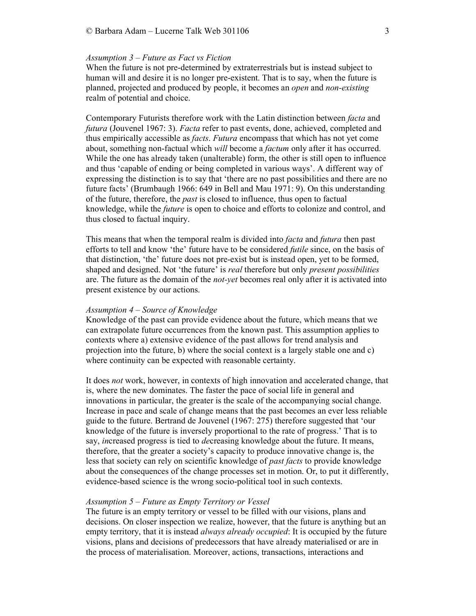#### Assumption 3 – Future as Fact vs Fiction

When the future is not pre-determined by extraterrestrials but is instead subject to human will and desire it is no longer pre-existent. That is to say, when the future is planned, projected and produced by people, it becomes an open and non-existing realm of potential and choice.

Contemporary Futurists therefore work with the Latin distinction between facta and futura (Jouvenel 1967: 3). Facta refer to past events, done, achieved, completed and thus empirically accessible as *facts. Futura* encompass that which has not yet come about, something non-factual which will become a *factum* only after it has occurred. While the one has already taken (unalterable) form, the other is still open to influence and thus 'capable of ending or being completed in various ways'. A different way of expressing the distinction is to say that 'there are no past possibilities and there are no future facts' (Brumbaugh 1966: 649 in Bell and Mau 1971: 9). On this understanding of the future, therefore, the past is closed to influence, thus open to factual knowledge, while the future is open to choice and efforts to colonize and control, and thus closed to factual inquiry.

This means that when the temporal realm is divided into *facta* and *futura* then past efforts to tell and know 'the' future have to be considered *futile* since, on the basis of that distinction, 'the' future does not pre-exist but is instead open, yet to be formed, shaped and designed. Not 'the future' is *real* therefore but only *present possibilities* are. The future as the domain of the *not-yet* becomes real only after it is activated into present existence by our actions.

#### Assumption 4 – Source of Knowledge

Knowledge of the past can provide evidence about the future, which means that we can extrapolate future occurrences from the known past. This assumption applies to contexts where a) extensive evidence of the past allows for trend analysis and projection into the future, b) where the social context is a largely stable one and c) where continuity can be expected with reasonable certainty.

It does not work, however, in contexts of high innovation and accelerated change, that is, where the new dominates. The faster the pace of social life in general and innovations in particular, the greater is the scale of the accompanying social change. Increase in pace and scale of change means that the past becomes an ever less reliable guide to the future. Bertrand de Jouvenel (1967: 275) therefore suggested that 'our knowledge of the future is inversely proportional to the rate of progress.' That is to say, *increased progress* is tied to *decreasing* knowledge about the future. It means, therefore, that the greater a society's capacity to produce innovative change is, the less that society can rely on scientific knowledge of *past facts* to provide knowledge about the consequences of the change processes set in motion. Or, to put it differently, evidence-based science is the wrong socio-political tool in such contexts.

### Assumption 5 – Future as Empty Territory or Vessel

The future is an empty territory or vessel to be filled with our visions, plans and decisions. On closer inspection we realize, however, that the future is anything but an empty territory, that it is instead *always already occupied*: It is occupied by the future visions, plans and decisions of predecessors that have already materialised or are in the process of materialisation. Moreover, actions, transactions, interactions and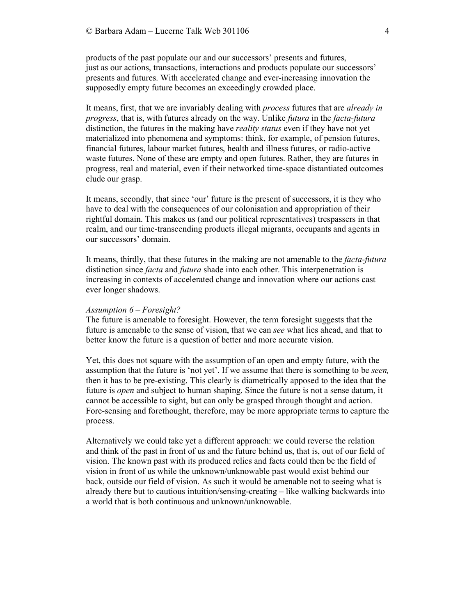products of the past populate our and our successors' presents and futures, just as our actions, transactions, interactions and products populate our successors' presents and futures. With accelerated change and ever-increasing innovation the supposedly empty future becomes an exceedingly crowded place.

It means, first, that we are invariably dealing with *process* futures that are *already in* progress, that is, with futures already on the way. Unlike *futura* in the *facta-futura* distinction, the futures in the making have *reality status* even if they have not yet materialized into phenomena and symptoms: think, for example, of pension futures, financial futures, labour market futures, health and illness futures, or radio-active waste futures. None of these are empty and open futures. Rather, they are futures in progress, real and material, even if their networked time-space distantiated outcomes elude our grasp.

It means, secondly, that since 'our' future is the present of successors, it is they who have to deal with the consequences of our colonisation and appropriation of their rightful domain. This makes us (and our political representatives) trespassers in that realm, and our time-transcending products illegal migrants, occupants and agents in our successors' domain.

It means, thirdly, that these futures in the making are not amenable to the facta-futura distinction since *facta* and *futura* shade into each other. This interpenetration is increasing in contexts of accelerated change and innovation where our actions cast ever longer shadows.

#### Assumption  $6$  – Foresight?

The future is amenable to foresight. However, the term foresight suggests that the future is amenable to the sense of vision, that we can see what lies ahead, and that to better know the future is a question of better and more accurate vision.

Yet, this does not square with the assumption of an open and empty future, with the assumption that the future is 'not yet'. If we assume that there is something to be seen, then it has to be pre-existing. This clearly is diametrically apposed to the idea that the future is open and subject to human shaping. Since the future is not a sense datum, it cannot be accessible to sight, but can only be grasped through thought and action. Fore-sensing and forethought, therefore, may be more appropriate terms to capture the process.

Alternatively we could take yet a different approach: we could reverse the relation and think of the past in front of us and the future behind us, that is, out of our field of vision. The known past with its produced relics and facts could then be the field of vision in front of us while the unknown/unknowable past would exist behind our back, outside our field of vision. As such it would be amenable not to seeing what is already there but to cautious intuition/sensing-creating – like walking backwards into a world that is both continuous and unknown/unknowable.